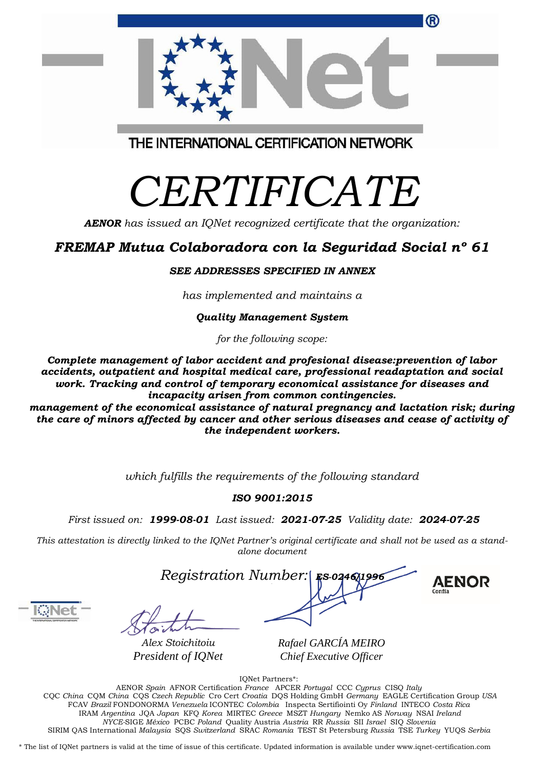| e care of minors affected by cancer and other serious diseases and cease of activity o<br>the independent workers. |  |
|--------------------------------------------------------------------------------------------------------------------|--|
|                                                                                                                    |  |
| which fulfills the requirements of the following standard                                                          |  |

### *ISO 9001:2015*

*First issued on: 1999-08-01 Last issued: 2021-07-25 Validity date: 2024-07-25*

This attestation is directly linked to the IQNet Partner's original certificate and shall not be used as a stand*alone document*

*Registration Number:* 

*Alex Stoichitoiu President of IQNet* *Rafael GARCÍA MEIRO Chief Executive Officer*

IQNet Partners\*:

AENOR *Spain* AFNOR Certification *France* APCER *Portugal* CCC *Cyprus* CISQ *Italy* CQC *China* CQM *China* CQS *Czech Republic* Cro Cert *Croatia* DQS Holding GmbH *Germany* EAGLE Certification Group *USA* FCAV *Brazil* FONDONORMA *Venezuela* ICONTEC *Colombia* Inspecta Sertifiointi Oy *Finland* INTECO *Costa Rica* IRAM *Argentina* JQA *Japan* KFQ *Korea* MIRTEC *Greece* MSZT *Hungary* Nemko AS *Norway* NSAI *Ireland NYCE-*SIGE *México* PCBC *Poland* Quality Austria *Austria* RR *Russia* SII *Israel* SIQ *Slovenia* SIRIM QAS International *Malaysia* SQS *Switzerland* SRAC *Romania* TEST St Petersburg *Russia* TSE *Turkey* YUQS *Serbia*

\* The list of IQNet partners is valid at the time of issue of this certificate. Updated information is available under www.iqnet-certification.com

## THE INTERNATIONAL CERTIFICATION NETWORK

# *CERTIFICATE*

*AENOR has issued an IQNet recognized certificate that the organization:*

## *FREMAP Mutua Colaboradora con la Seguridad Social nº 61*

#### *SEE ADDRESSES SPECIFIED IN ANNEX*

*has implemented and maintains a*

#### *Quality Management System*

*for the following scope:*

*Complete management of labor accident and profesional disease:prevention of labor accidents, outpatient and hospital medical care, professional readaptation and social work. Tracking and control of temporary economical assistance for diseases and incapacity arisen from common contingencies.*

*management of the economical assistance of natural pregnancy and lactation risk; during the care of minors affected by cancer and other serious diseases and cease of activity of*

**AENOR** 



G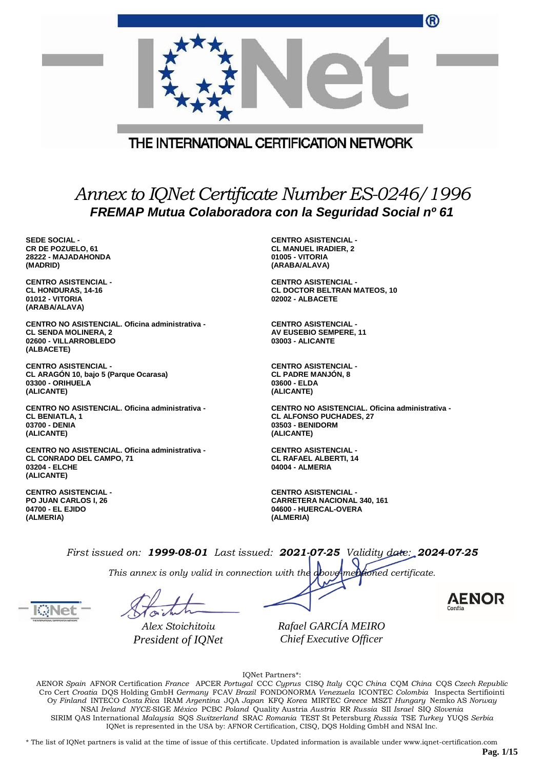|                                                                                                                       |  | ®                                                                                                                   |
|-----------------------------------------------------------------------------------------------------------------------|--|---------------------------------------------------------------------------------------------------------------------|
|                                                                                                                       |  |                                                                                                                     |
|                                                                                                                       |  | THE INTERNATIONAL CERTIFICATION NETWORK                                                                             |
| Annex to IQNet Certificate Number ES-0246/1996<br>FREMAP Mutua Colaboradora con la Seguridad Social nº 61             |  |                                                                                                                     |
| <b>SEDE SOCIAL -</b><br>CR DE POZUELO, 61<br>28222 - MAJADAHONDA<br>(MADRID)                                          |  | <b>CENTRO ASISTENCIAL -</b><br><b>CL MANUEL IRADIER, 2</b><br>01005 - VITORIA<br>(ARABA/ALAVA)                      |
| <b>CENTRO ASISTENCIAL -</b><br><b>CL HONDURAS, 14-16</b><br>01012 - VITORIA<br>(ARABA/ALAVA)                          |  | <b>CENTRO ASISTENCIAL -</b><br><b>CL DOCTOR BELTRAN MATEOS, 10</b><br>02002 - ALBACETE                              |
| CENTRO NO ASISTENCIAL. Oficina administrativa -<br><b>CL SENDA MOLINERA, 2</b><br>02600 - VILLARROBLEDO<br>(ALBACETE) |  | <b>CENTRO ASISTENCIAL -</b><br><b>AV EUSEBIO SEMPERE, 11</b><br><b>03003 - ALICANTE</b>                             |
| <b>CENTRO ASISTENCIAL -</b><br>CL ARAGON 10, bajo 5 (Parque Ocarasa)<br>03300 - ORIHUELA<br>(ALICANTE)                |  | <b>CENTRO ASISTENCIAL -</b><br><b>CL PADRE MANJON, 8</b><br>03600 - ELDA<br>(ALICANTE)                              |
| <b>CENTRO NO ASISTENCIAL. Oficina administrativa -</b><br><b>CL BENIATLA, 1</b><br>03700 - DENIA<br>(ALICANTE)        |  | CENTRO NO ASISTENCIAL. Oficina administrativa -<br><b>CL ALFONSO PUCHADES, 27</b><br>03503 - BENIDORM<br>(ALICANTE) |
| CENTRO NO ASISTENCIAL. Oficina administrativa -<br><b>CL CONRADO DEL CAMPO, 71</b><br>03204 - ELCHE<br>(ALICANTE)     |  | <b>CENTRO ASISTENCIAL -</b><br><b>CL RAFAEL ALBERTI, 14</b><br>04004 - ALMERIA                                      |

**CENTRO ASISTENCIAL - PO JUAN CARLOS I, 26 04700 - EL EJIDO (ALMERIA)**

**CENTRO ASISTENCIAL - CARRETERA NACIONAL 340, 161 04600 - HUERCAL-OVERA (ALMERIA)**

*First issued on: 1999-08-01 Last issued: 2021-07-25 Validity date: 2024-07-25*

*This annex is only valid in connection with the above-mentioned certificate.*

*Alex Stoichitoiu President of IQNet*

*Rafael GARCÍA MEIRO Chief Executive Officer*

IQNet Partners\*:

AENOR *Spain* AFNOR Certification *France* APCER *Portugal* CCC *Cyprus* CISQ *Italy* CQC *China* CQM *China* CQS *Czech Republic* Cro Cert *Croatia* DQS Holding GmbH *Germany* FCAV *Brazil* FONDONORMA *Venezuela* ICONTEC *Colombia* Inspecta Sertifiointi Oy *Finland* INTECO *Costa Rica* IRAM *Argentina* JQA *Japan* KFQ *Korea* MIRTEC *Greece* MSZT *Hungary* Nemko AS *Norway* NSAI *Ireland NYCE-*SIGE *México* PCBC *Poland* Quality Austria *Austria* RR *Russia* SII *Israel* SIQ *Slovenia* SIRIM QAS International *Malaysia* SQS *Switzerland* SRAC *Romania* TEST St Petersburg *Russia* TSE *Turkey* YUQS *Serbia* IQNet is represented in the USA by: AFNOR Certification, CISQ, DQS Holding GmbH and NSAI Inc.

\* The list of IQNet partners is valid at the time of issue of this certificate. Updated information is available under www.iqnet-certification.com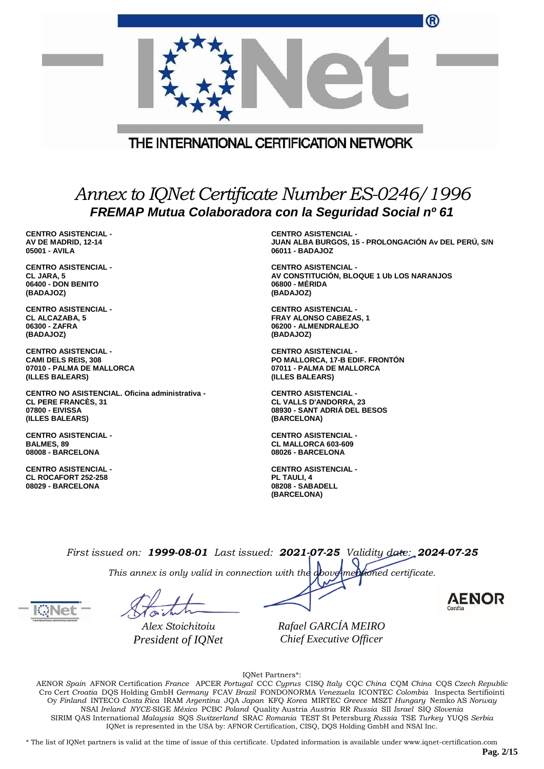|                                                                                                                     |  | ®                                                                                                              |
|---------------------------------------------------------------------------------------------------------------------|--|----------------------------------------------------------------------------------------------------------------|
|                                                                                                                     |  | THE INTERNATIONAL CERTIFICATION NETWORK                                                                        |
|                                                                                                                     |  |                                                                                                                |
| Annex to IQNet Certificate Number ES-0246/1996<br>FREMAP Mutua Colaboradora con la Seguridad Social nº 61           |  |                                                                                                                |
| <b>CENTRO ASISTENCIAL -</b><br>AV DE MADRID, 12-14<br>05001 - AVILA                                                 |  | <b>CENTRO ASISTENCIAL -</b><br>JUAN ALBA BURGOS, 15 - PROLONGACIÓN Av DEL PERÚ, S/N<br>06011 - BADAJOZ         |
| <b>CENTRO ASISTENCIAL -</b><br>CL JARA, 5<br>06400 - DON BENITO<br>(BADAJOZ)                                        |  | <b>CENTRO ASISTENCIAL -</b><br>AV CONSTITUCIÓN, BLOQUE 1 Ub LOS NARANJOS<br>06800 - MERIDA<br>(BADAJOZ)        |
| <b>CENTRO ASISTENCIAL -</b><br><b>CL ALCAZABA, 5</b><br>06300 - ZAFRA<br>(BADAJOZ)                                  |  | <b>CENTRO ASISTENCIAL -</b><br><b>FRAY ALONSO CABEZAS, 1</b><br>06200 - ALMENDRALEJO<br>(BADAJOZ)              |
| <b>CENTRO ASISTENCIAL -</b><br><b>CAMI DELS REIS, 308</b><br>07010 - PALMA DE MALLORCA<br>(ILLES BALEARS)           |  | <b>CENTRO ASISTENCIAL -</b><br>PO MALLORCA, 17-B EDIF. FRONTON<br>07011 - PALMA DE MALLORCA<br>(ILLES BALEARS) |
| CENTRO NO ASISTENCIAL. Oficina administrativa -<br><b>CL PERE FRANCES, 31</b><br>07800 - EIVISSA<br>(ILLES BALEARS) |  | <b>CENTRO ASISTENCIAL -</b><br><b>CL VALLS D'ANDORRA, 23</b><br>08930 - SANT ADRIA DEL BESOS<br>(BARCELONA)    |
| <b>CENTRO ASISTENCIAL -</b><br><b>BALMES, 89</b><br>08008 - BARCELONA                                               |  | <b>CENTRO ASISTENCIAL -</b><br><b>CL MALLORCA 603-609</b><br>08026 - BARCELONA                                 |
| <b>CENTRO ASISTENCIAL -</b><br><b>CL ROCAFORT 252-258</b><br>08029 - BARCELONA                                      |  | <b>CENTRO ASISTENCIAL -</b><br>PL TAULI, 4<br>08208 - SABADELL<br>(BARCELONA)                                  |
|                                                                                                                     |  | $First is used on: 1000.00.01. Let is used. 0001.07.0E, Validite, data. 0004.07.0E.$                           |

*This annex is only valid in connection with the above-mentioned certificate.*

*Alex Stoichitoiu President of IQNet*

*Rafael GARCÍA MEIRO Chief Executive Officer*

IQNet Partners\*:

AENOR *Spain* AFNOR Certification *France* APCER *Portugal* CCC *Cyprus* CISQ *Italy* CQC *China* CQM *China* CQS *Czech Republic* Cro Cert *Croatia* DQS Holding GmbH *Germany* FCAV *Brazil* FONDONORMA *Venezuela* ICONTEC *Colombia* Inspecta Sertifiointi Oy *Finland* INTECO *Costa Rica* IRAM *Argentina* JQA *Japan* KFQ *Korea* MIRTEC *Greece* MSZT *Hungary* Nemko AS *Norway* NSAI *Ireland NYCE-*SIGE *México* PCBC *Poland* Quality Austria *Austria* RR *Russia* SII *Israel* SIQ *Slovenia* SIRIM QAS International *Malaysia* SQS *Switzerland* SRAC *Romania* TEST St Petersburg *Russia* TSE *Turkey* YUQS *Serbia* IQNet is represented in the USA by: AFNOR Certification, CISQ, DQS Holding GmbH and NSAI Inc.

\* The list of IQNet partners is valid at the time of issue of this certificate. Updated information is available under www.iqnet-certification.com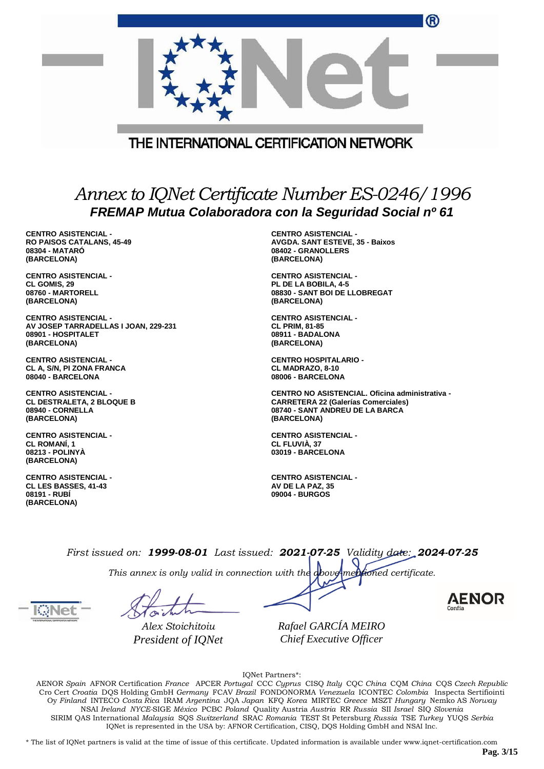| THE INTERNATIONAL CERTIFICATION NETWORK                                                                   |                                        |  |
|-----------------------------------------------------------------------------------------------------------|----------------------------------------|--|
| Annex to IQNet Certificate Number ES-0246/1996<br>FREMAP Mutua Colaboradora con la Seguridad Social nº 61 |                                        |  |
| <b>CENTRO ASISTENCIAL -</b>                                                                               | <b>CENTRO ASISTENCIAL -</b>            |  |
| <b>RO PAISOS CATALANS, 45-49</b>                                                                          | <b>AVGDA. SANT ESTEVE, 35 - Baixos</b> |  |
| 08304 - MATARO                                                                                            | 08402 - GRANOLLERS                     |  |
| (BARCELONA)                                                                                               | (BARCELONA)                            |  |
| <b>CENTRO ASISTENCIAL -</b>                                                                               | <b>CENTRO ASISTENCIAL -</b>            |  |
| CL GOMIS, 29                                                                                              | PL DE LA BOBILA, 4-5                   |  |
| 08760 - MARTORELL                                                                                         | 08830 - SANT BOI DE LLOBREGAT          |  |
| (BARCELONA)                                                                                               | (BARCELONA)                            |  |
| <b>CENTRO ASISTENCIAL -</b>                                                                               | <b>CENTRO ASISTENCIAL -</b>            |  |
| AV JOSEP TARRADELLAS I JOAN, 229-231                                                                      | <b>CL PRIM, 81-85</b>                  |  |
| 08901 - HOSPITALET                                                                                        | 08911 - BADALONA                       |  |
| (BARCELONA)                                                                                               | (BARCELONA)                            |  |
| <b>CENTRO ASISTENCIAL -</b>                                                                               | <b>CENTRO HOSPITALARIO -</b>           |  |
| CL A, S/N, PI ZONA FRANCA                                                                                 | CL MADRAZO, 8-10                       |  |
| 08040 - BARCELONA                                                                                         | 08006 - BARCELONA                      |  |

**CENTRO ASISTENCIAL - CL DESTRALETA, 2 BLOQUE B 08940 - CORNELLA (BARCELONA)**

**CENTRO ASISTENCIAL - CL ROMANÍ, 1 08213 - POLINYÀ (BARCELONA)**

**CENTRO ASISTENCIAL - CL LES BASSES, 41-43 08191 - RUBÍ (BARCELONA)**

**(BARCELONA) CENTRO ASISTENCIAL - CL FLUVIÀ, 37 03019 - BARCELONA**

**CENTRO NO ASISTENCIAL. Oficina administrativa -**

**CARRETERA 22 (Galerías Comerciales) 08740 - SANT ANDREU DE LA BARCA**

**CENTRO ASISTENCIAL - AV DE LA PAZ, 35 09004 - BURGOS**

*First issued on: 1999-08-01 Last issued: 2021-07-25 Validity date: 2024-07-25*

*This annex is only valid in connection with the above-mentioned certificate.*

*Alex Stoichitoiu President of IQNet* *Rafael GARCÍA MEIRO Chief Executive Officer*

IQNet Partners\*:

AENOR *Spain* AFNOR Certification *France* APCER *Portugal* CCC *Cyprus* CISQ *Italy* CQC *China* CQM *China* CQS *Czech Republic* Cro Cert *Croatia* DQS Holding GmbH *Germany* FCAV *Brazil* FONDONORMA *Venezuela* ICONTEC *Colombia* Inspecta Sertifiointi Oy *Finland* INTECO *Costa Rica* IRAM *Argentina* JQA *Japan* KFQ *Korea* MIRTEC *Greece* MSZT *Hungary* Nemko AS *Norway* NSAI *Ireland NYCE-*SIGE *México* PCBC *Poland* Quality Austria *Austria* RR *Russia* SII *Israel* SIQ *Slovenia* SIRIM QAS International *Malaysia* SQS *Switzerland* SRAC *Romania* TEST St Petersburg *Russia* TSE *Turkey* YUQS *Serbia* IQNet is represented in the USA by: AFNOR Certification, CISQ, DQS Holding GmbH and NSAI Inc.

\* The list of IQNet partners is valid at the time of issue of this certificate. Updated information is available under www.iqnet-certification.com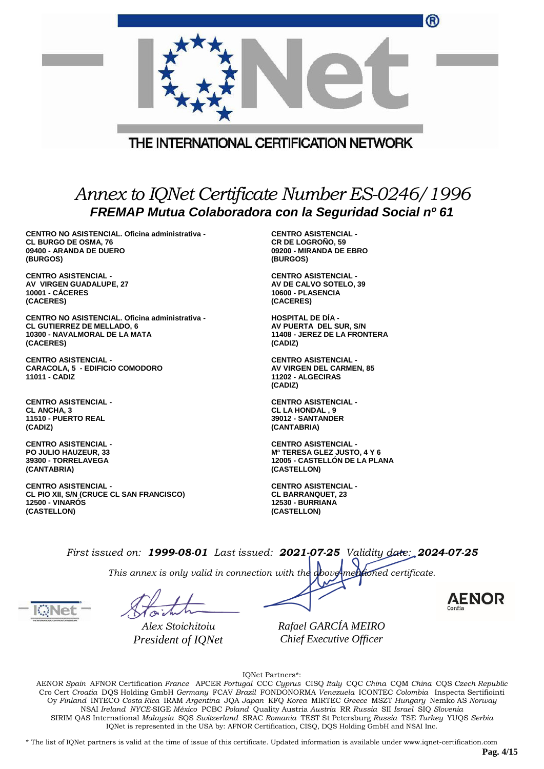|                                                                                                                       | THE INTERNATIONAL CERTIFICATION NETWORK                                                                   |
|-----------------------------------------------------------------------------------------------------------------------|-----------------------------------------------------------------------------------------------------------|
|                                                                                                                       | Annex to IQNet Certificate Number ES-0246/1996<br>FREMAP Mutua Colaboradora con la Seguridad Social nº 61 |
| CENTRO NO ASISTENCIAL. Oficina administrativa -<br><b>CL BURGO DE OSMA, 76</b><br>09400 - ARANDA DE DUERO<br>(BURGOS) | <b>CENTRO ASISTENCIAL -</b><br><b>CR DE LOGROÑO, 59</b><br>09200 - MIRANDA DE EBRO<br>(BURGOS)            |
| <b>CENTRO ASISTENCIAL -</b><br>AV VIRGEN GUADALUPE, 27<br><b>10001 - CÁCERES</b><br>(CACERES)                         | <b>CENTRO ASISTENCIAL -</b><br>AV DE CALVO SOTELO, 39<br>10600 - PLASENCIA<br>(CACERES)                   |

**CENTRO NO ASISTENCIAL. Oficina administrativa - CL GUTIERREZ DE MELLADO, 6 10300 - NAVALMORAL DE LA MATA (CACERES)**

**CENTRO ASISTENCIAL - CARACOLA, 5 - EDIFICIO COMODORO 11011 - CADIZ**

**CENTRO ASISTENCIAL - CL ANCHA, 3 11510 - PUERTO REAL (CADIZ)**

**CENTRO ASISTENCIAL - PO JULIO HAUZEUR, 33 39300 - TORRELAVEGA (CANTABRIA)**

**CENTRO ASISTENCIAL - CL PIO XII, S/N (CRUCE CL SAN FRANCISCO) 12500 - VINARÓS (CASTELLON)**

**HOSPITAL DE DÍA - AV PUERTA DEL SUR, S/N 11408 - JEREZ DE LA FRONTERA (CADIZ)**

**CENTRO ASISTENCIAL - AV VIRGEN DEL CARMEN, 85 11202 - ALGECIRAS (CADIZ)**

**CENTRO ASISTENCIAL - CL LA HONDAL , 9 39012 - SANTANDER (CANTABRIA)**

**CENTRO ASISTENCIAL - Mª TERESA GLEZ JUSTO, 4 Y 6 12005 - CASTELLÓN DE LA PLANA (CASTELLON)**

**CENTRO ASISTENCIAL - CL BARRANQUET, 23 12530 - BURRIANA (CASTELLON)**

*First issued on: 1999-08-01 Last issued: 2021-07-25 Validity date: 2024-07-25*

*This annex is only valid in connection with the above-mentioned certificate.*

*Alex Stoichitoiu President of IQNet*

*Rafael GARCÍA MEIRO Chief Executive Officer*

IQNet Partners\*:

AENOR *Spain* AFNOR Certification *France* APCER *Portugal* CCC *Cyprus* CISQ *Italy* CQC *China* CQM *China* CQS *Czech Republic* Cro Cert *Croatia* DQS Holding GmbH *Germany* FCAV *Brazil* FONDONORMA *Venezuela* ICONTEC *Colombia* Inspecta Sertifiointi Oy *Finland* INTECO *Costa Rica* IRAM *Argentina* JQA *Japan* KFQ *Korea* MIRTEC *Greece* MSZT *Hungary* Nemko AS *Norway* NSAI *Ireland NYCE-*SIGE *México* PCBC *Poland* Quality Austria *Austria* RR *Russia* SII *Israel* SIQ *Slovenia* SIRIM QAS International *Malaysia* SQS *Switzerland* SRAC *Romania* TEST St Petersburg *Russia* TSE *Turkey* YUQS *Serbia* IQNet is represented in the USA by: AFNOR Certification, CISQ, DQS Holding GmbH and NSAI Inc.

\* The list of IQNet partners is valid at the time of issue of this certificate. Updated information is available under www.iqnet-certification.com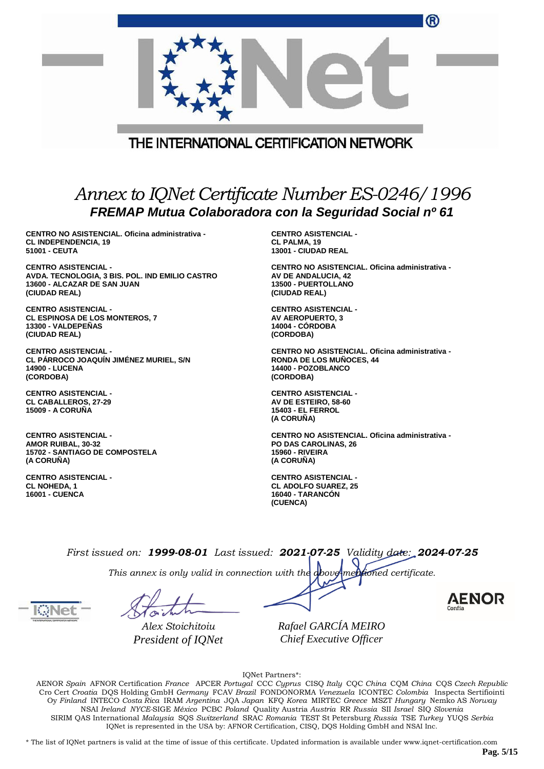|                                                                                                           | $\mathbf w$                                     |  |
|-----------------------------------------------------------------------------------------------------------|-------------------------------------------------|--|
|                                                                                                           |                                                 |  |
|                                                                                                           | THE INTERNATIONAL CERTIFICATION NETWORK         |  |
|                                                                                                           |                                                 |  |
| Annex to IQNet Certificate Number ES-0246/1996<br>FREMAP Mutua Colaboradora con la Seguridad Social nº 61 |                                                 |  |
| CENTRO NO ASISTENCIAL. Oficina administrativa -                                                           | <b>CENTRO ASISTENCIAL -</b>                     |  |
| <b>CL INDEPENDENCIA, 19</b>                                                                               | CL PALMA, 19                                    |  |
| 51001 - CEUTA                                                                                             | 13001 - CIUDAD REAL                             |  |
| <b>CENTRO ASISTENCIAL -</b>                                                                               | CENTRO NO ASISTENCIAL. Oficina administrativa - |  |
| AVDA. TECNOLOGIA, 3 BIS. POL. IND EMILIO CASTRO                                                           | AV DE ANDALUCIA, 42                             |  |
| 13600 - ALCAZAR DE SAN JUAN                                                                               | 13500 - PUERTOLLANO                             |  |
| (CIUDAD REAL)                                                                                             | (CIUDAD REAL)                                   |  |
| <b>CENTRO ASISTENCIAL -</b>                                                                               | <b>CENTRO ASISTENCIAL -</b>                     |  |
| <b>CL ESPINOSA DE LOS MONTEROS, 7</b>                                                                     | AV AEROPUERTO, 3                                |  |
| 13300 - VALDEPEÑAS                                                                                        | <b>14004 - CORDOBA</b>                          |  |
| (CIUDAD REAL)                                                                                             | (CORDOBA)                                       |  |
| <b>CENTRO ASISTENCIAL -</b>                                                                               | CENTRO NO ASISTENCIAL. Oficina administrativa - |  |
| CL PÁRROCO JOAQUÍN JIMÉNEZ MURIEL, S/N                                                                    | <b>RONDA DE LOS MUÑOCES, 44</b>                 |  |
| <b>14900 - LUCENA</b>                                                                                     | 14400 - POZOBLANCO                              |  |
| (CORDOBA)                                                                                                 | (CORDOBA)                                       |  |
| <b>CENTRO ASISTENCIAL -</b>                                                                               | <b>CENTRO ASISTENCIAL -</b>                     |  |
| <b>CL CABALLEROS, 27-29</b>                                                                               | AV DE ESTEIRO, 58-60                            |  |
| <b>15009 - A CORUÑA</b>                                                                                   | <b>15403 - EL FERROL</b>                        |  |

**CENTRO ASISTENCIAL - AMOR RUIBAL, 30-32 15702 - SANTIAGO DE COMPOSTELA (A CORUÑA)**

**CENTRO ASISTENCIAL - CL NOHEDA, 1 16001 - CUENCA**

**CENTRO NO ASISTENCIAL. Oficina administrativa - PO DAS CAROLINAS, 26 15960 - RIVEIRA (A CORUÑA)**

 $\sqrt{2}$ 

**CENTRO ASISTENCIAL - CL ADOLFO SUAREZ, 25 16040 - TARANCÓN (CUENCA)**

**(A CORUÑA)**

*First issued on: 1999-08-01 Last issued: 2021-07-25 Validity date: 2024-07-25*

*This annex is only valid in connection with the above-mentioned certificate.*

*Alex Stoichitoiu President of IQNet* *Rafael GARCÍA MEIRO Chief Executive Officer*

IQNet Partners\*:

AENOR *Spain* AFNOR Certification *France* APCER *Portugal* CCC *Cyprus* CISQ *Italy* CQC *China* CQM *China* CQS *Czech Republic* Cro Cert *Croatia* DQS Holding GmbH *Germany* FCAV *Brazil* FONDONORMA *Venezuela* ICONTEC *Colombia* Inspecta Sertifiointi Oy *Finland* INTECO *Costa Rica* IRAM *Argentina* JQA *Japan* KFQ *Korea* MIRTEC *Greece* MSZT *Hungary* Nemko AS *Norway* NSAI *Ireland NYCE-*SIGE *México* PCBC *Poland* Quality Austria *Austria* RR *Russia* SII *Israel* SIQ *Slovenia* SIRIM QAS International *Malaysia* SQS *Switzerland* SRAC *Romania* TEST St Petersburg *Russia* TSE *Turkey* YUQS *Serbia* IQNet is represented in the USA by: AFNOR Certification, CISQ, DQS Holding GmbH and NSAI Inc.

\* The list of IQNet partners is valid at the time of issue of this certificate. Updated information is available under www.iqnet-certification.com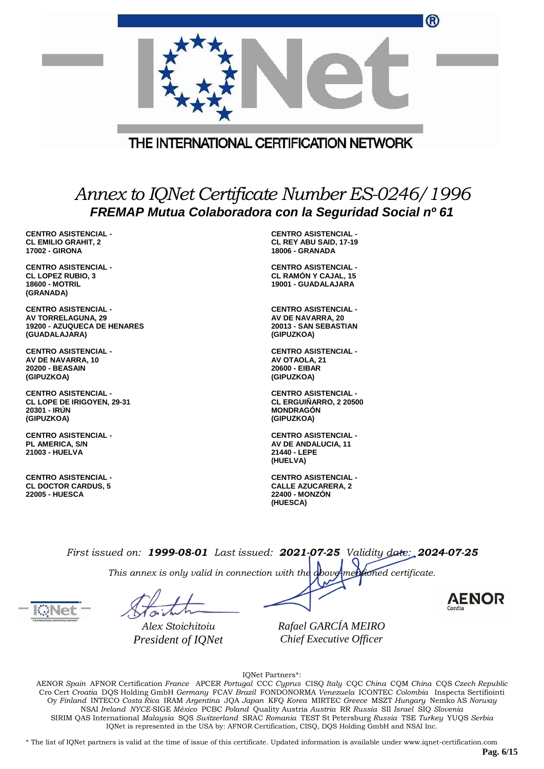|                                                                                                           | THE INTERNATIONAL CERTIFICATION NETWORK                                           |  |
|-----------------------------------------------------------------------------------------------------------|-----------------------------------------------------------------------------------|--|
|                                                                                                           |                                                                                   |  |
| Annex to IQNet Certificate Number ES-0246/1996<br>FREMAP Mutua Colaboradora con la Seguridad Social nº 61 |                                                                                   |  |
| <b>CENTRO ASISTENCIAL -</b>                                                                               | <b>CENTRO ASISTENCIAL -</b>                                                       |  |
| <b>CL EMILIO GRAHIT, 2</b>                                                                                | CL REY ABU SAID, 17-19                                                            |  |
| <b>17002 - GIRONA</b>                                                                                     | <b>18006 - GRANADA</b>                                                            |  |
| <b>CENTRO ASISTENCIAL -</b><br><b>CL LOPEZ RUBIO, 3</b><br><b>18600 - MOTRIL</b><br>(GRANADA)             | <b>CENTRO ASISTENCIAL -</b><br><b>CL RAMON Y CAJAL, 15</b><br>19001 - GUADALAJARA |  |
| <b>CENTRO ASISTENCIAL -</b>                                                                               | <b>CENTRO ASISTENCIAL -</b>                                                       |  |
| AV TORRELAGUNA, 29                                                                                        | AV DE NAVARRA, 20                                                                 |  |
| 19200 - AZUQUECA DE HENARES                                                                               | 20013 - SAN SEBASTIAN                                                             |  |
| (GUADALAJARA)                                                                                             | (GIPUZKOA)                                                                        |  |
| <b>CENTRO ASISTENCIAL -</b>                                                                               | <b>CENTRO ASISTENCIAL -</b>                                                       |  |
| AV DE NAVARRA, 10                                                                                         | AV OTAOLA, 21                                                                     |  |
| <b>20200 - BEASAIN</b>                                                                                    | 20600 - EIBAR                                                                     |  |
| (GIPUZKOA)                                                                                                | (GIPUZKOA)                                                                        |  |
| <b>CENTRO ASISTENCIAL -</b>                                                                               | <b>CENTRO ASISTENCIAL -</b>                                                       |  |
| <b>CL LOPE DE IRIGOYEN, 29-31</b>                                                                         | <b>CL ERGUIÑARRO, 2 20500</b>                                                     |  |
| 20301 - IRUN                                                                                              | <b>MONDRAGON</b>                                                                  |  |
| (GIPUZKOA)                                                                                                | (GIPUZKOA)                                                                        |  |
| <b>CENTRO ASISTENCIAL -</b>                                                                               | <b>CENTRO ASISTENCIAL -</b>                                                       |  |
| <b>PL AMERICA, S/N</b>                                                                                    | AV DE ANDALUCIA, 11                                                               |  |

**CENTRO ASISTENCIAL - CL DOCTOR CARDUS, 5 22005 - HUESCA**

**21003 - HUELVA**

**CENTRO ASISTENCIAL - CALLE AZUCARERA, 2 22400 - MONZÓN (HUESCA)**

**21440 - LEPE (HUELVA)**

*First issued on: 1999-08-01 Last issued: 2021-07-25 Validity date: 2024-07-25*

*This annex is only valid in connection with the above-mentioned certificate.*

*Alex Stoichitoiu President of IQNet*

*Rafael GARCÍA MEIRO Chief Executive Officer*

IQNet Partners\*:

AENOR *Spain* AFNOR Certification *France* APCER *Portugal* CCC *Cyprus* CISQ *Italy* CQC *China* CQM *China* CQS *Czech Republic* Cro Cert *Croatia* DQS Holding GmbH *Germany* FCAV *Brazil* FONDONORMA *Venezuela* ICONTEC *Colombia* Inspecta Sertifiointi Oy *Finland* INTECO *Costa Rica* IRAM *Argentina* JQA *Japan* KFQ *Korea* MIRTEC *Greece* MSZT *Hungary* Nemko AS *Norway* NSAI *Ireland NYCE-*SIGE *México* PCBC *Poland* Quality Austria *Austria* RR *Russia* SII *Israel* SIQ *Slovenia* SIRIM QAS International *Malaysia* SQS *Switzerland* SRAC *Romania* TEST St Petersburg *Russia* TSE *Turkey* YUQS *Serbia* IQNet is represented in the USA by: AFNOR Certification, CISQ, DQS Holding GmbH and NSAI Inc.

\* The list of IQNet partners is valid at the time of issue of this certificate. Updated information is available under www.iqnet-certification.com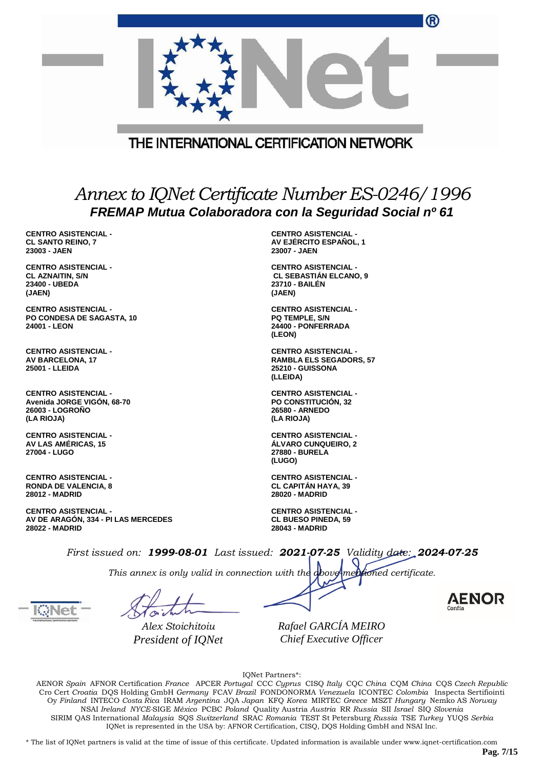|                                                                                                           |  | ®                                                                                                    |
|-----------------------------------------------------------------------------------------------------------|--|------------------------------------------------------------------------------------------------------|
|                                                                                                           |  | THE INTERNATIONAL CERTIFICATION NETWORK                                                              |
|                                                                                                           |  |                                                                                                      |
| Annex to IQNet Certificate Number ES-0246/1996<br>FREMAP Mutua Colaboradora con la Seguridad Social nº 61 |  |                                                                                                      |
| <b>CENTRO ASISTENCIAL -</b><br><b>CL SANTO REINO, 7</b><br>23003 - JAEN                                   |  | <b>CENTRO ASISTENCIAL -</b><br>AV EJÉRCITO ESPAÑOL. 1<br>23007 - JAEN                                |
| <b>CENTRO ASISTENCIAL -</b><br><b>CL AZNAITIN, S/N</b><br>23400 - UBEDA<br>(JAEN)                         |  | <b>CENTRO ASISTENCIAL -</b><br><b>CL SEBASTIAN ELCANO, 9</b><br>23710 - BAILÉN<br>(JAEN)             |
| <b>CENTRO ASISTENCIAL -</b><br>PO CONDESA DE SAGASTA, 10<br>24001 - LEON                                  |  | <b>CENTRO ASISTENCIAL -</b><br>PQ TEMPLE, S/N<br>24400 - PONFERRADA<br>(LEON)                        |
| <b>CENTRO ASISTENCIAL -</b><br><b>AV BARCELONA, 17</b><br>25001 - LLEIDA                                  |  | <b>CENTRO ASISTENCIAL -</b><br><b>RAMBLA ELS SEGADORS, 57</b><br><b>25210 - GUISSONA</b><br>(LLEIDA) |
| <b>CENTRO ASISTENCIAL -</b><br>Avenida JORGE VIGON, 68-70<br><b>26003 - LOGRONO</b><br>(LA RIOJA)         |  | <b>CENTRO ASISTENCIAL -</b><br>PO CONSTITUCIÓN, 32<br>26580 - ARNEDO<br>(LA RIOJA)                   |
| <b>CENTRO ASISTENCIAL -</b><br><b>AV LAS AMERICAS, 15</b><br>27004 - LUGO                                 |  | <b>CENTRO ASISTENCIAL -</b><br><b>ALVARO CUNQUEIRO, 2</b><br>27880 - BURELA<br>(LUGO)                |
| <b>CENTRO ASISTENCIAL -</b><br><b>RONDA DE VALENCIA, 8</b><br>28012 - MADRID                              |  | <b>CENTRO ASISTENCIAL -</b><br><b>CL CAPITAN HAYA, 39</b><br>28020 - MADRID                          |
| <b>CENTRO ASISTENCIAL -</b><br>AV DE ARAGÓN, 334 - PI LAS MERCEDES<br><b>28022 - MADRID</b>               |  | <b>CENTRO ASISTENCIAL -</b><br><b>CL BUESO PINEDA, 59</b><br><b>28043 - MADRID</b>                   |
|                                                                                                           |  | First issued on: $1999-08-01$ Last issued: $2021-07-25$ Validity date: $2024-07-25$                  |
|                                                                                                           |  | This annex is only valid in connection with the <b>obove-mentioned</b> certificate.                  |



*Alex Stoichitoiu President of IQNet*

*Rafael GARCÍA MEIRO Chief Executive Officer*

IQNet Partners\*:

AENOR *Spain* AFNOR Certification *France* APCER *Portugal* CCC *Cyprus* CISQ *Italy* CQC *China* CQM *China* CQS *Czech Republic* Cro Cert *Croatia* DQS Holding GmbH *Germany* FCAV *Brazil* FONDONORMA *Venezuela* ICONTEC *Colombia* Inspecta Sertifiointi Oy *Finland* INTECO *Costa Rica* IRAM *Argentina* JQA *Japan* KFQ *Korea* MIRTEC *Greece* MSZT *Hungary* Nemko AS *Norway* NSAI *Ireland NYCE-*SIGE *México* PCBC *Poland* Quality Austria *Austria* RR *Russia* SII *Israel* SIQ *Slovenia* SIRIM QAS International *Malaysia* SQS *Switzerland* SRAC *Romania* TEST St Petersburg *Russia* TSE *Turkey* YUQS *Serbia* IQNet is represented in the USA by: AFNOR Certification, CISQ, DQS Holding GmbH and NSAI Inc.

\* The list of IQNet partners is valid at the time of issue of this certificate. Updated information is available under www.iqnet-certification.com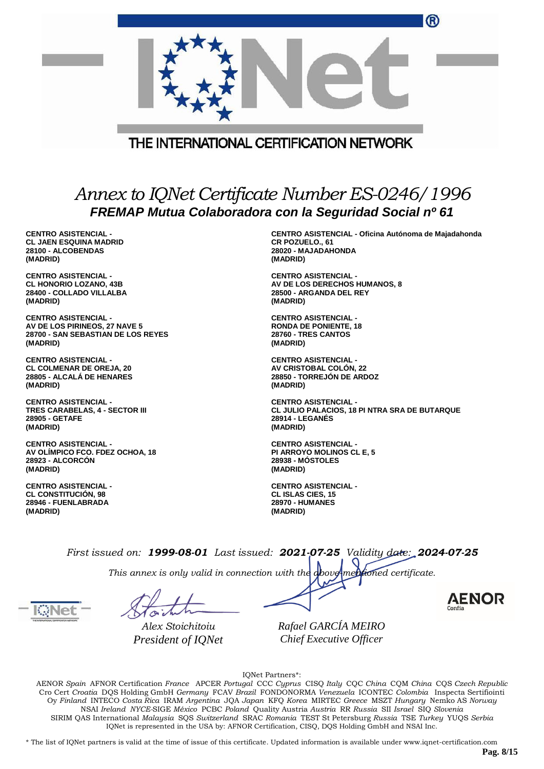|                                                                                                           | THE INTERNATIONAL CERTIFICATION NETWORK                                                                           |  |
|-----------------------------------------------------------------------------------------------------------|-------------------------------------------------------------------------------------------------------------------|--|
| Annex to IQNet Certificate Number ES-0246/1996<br>FREMAP Mutua Colaboradora con la Seguridad Social nº 61 |                                                                                                                   |  |
| <b>CENTRO ASISTENCIAL -</b><br><b>CL JAEN ESQUINA MADRID</b><br>28100 - ALCOBENDAS<br>(MADRID)            | <b>CENTRO ASISTENCIAL - Oficina Autónoma de Majadahonda</b><br>CR POZUELO., 61<br>28020 - MAJADAHONDA<br>(MADRID) |  |

**CENTRO ASISTENCIAL - CL HONORIO LOZANO, 43B 28400 - COLLADO VILLALBA (MADRID)**

**CENTRO ASISTENCIAL - AV DE LOS PIRINEOS, 27 NAVE 5 28700 - SAN SEBASTIAN DE LOS REYES (MADRID)**

**CENTRO ASISTENCIAL - CL COLMENAR DE OREJA, 20 28805 - ALCALÁ DE HENARES (MADRID)**

**CENTRO ASISTENCIAL - TRES CARABELAS, 4 - SECTOR III 28905 - GETAFE (MADRID)**

**CENTRO ASISTENCIAL - AV OLÍMPICO FCO. FDEZ OCHOA, 18 28923 - ALCORCÓN (MADRID)**

**CENTRO ASISTENCIAL - CL CONSTITUCIÓN, 98 28946 - FUENLABRADA (MADRID)**

**CENTRO ASISTENCIAL - AV DE LOS DERECHOS HUMANOS, 8 28500 - ARGANDA DEL REY (MADRID)**

**CENTRO ASISTENCIAL - RONDA DE PONIENTE, 18 28760 - TRES CANTOS (MADRID)**

**CENTRO ASISTENCIAL - AV CRISTOBAL COLÓN, 22 28850 - TORREJÓN DE ARDOZ (MADRID)**

**CENTRO ASISTENCIAL - CL JULIO PALACIOS, 18 PI NTRA SRA DE BUTARQUE 28914 - LEGANÉS (MADRID)**

**CENTRO ASISTENCIAL - PI ARROYO MOLINOS CL E, 5 28938 - MÓSTOLES (MADRID)**

**CENTRO ASISTENCIAL - CL ISLAS CIES, 15 28970 - HUMANES (MADRID)**

*First issued on: 1999-08-01 Last issued: 2021-07-25 Validity date: 2024-07-25*

*This annex is only valid in connection with the above-mentioned certificate.*

*Alex Stoichitoiu President of IQNet*

*Rafael GARCÍA MEIRO Chief Executive Officer*

IQNet Partners\*:

AENOR *Spain* AFNOR Certification *France* APCER *Portugal* CCC *Cyprus* CISQ *Italy* CQC *China* CQM *China* CQS *Czech Republic* Cro Cert *Croatia* DQS Holding GmbH *Germany* FCAV *Brazil* FONDONORMA *Venezuela* ICONTEC *Colombia* Inspecta Sertifiointi Oy *Finland* INTECO *Costa Rica* IRAM *Argentina* JQA *Japan* KFQ *Korea* MIRTEC *Greece* MSZT *Hungary* Nemko AS *Norway* NSAI *Ireland NYCE-*SIGE *México* PCBC *Poland* Quality Austria *Austria* RR *Russia* SII *Israel* SIQ *Slovenia* SIRIM QAS International *Malaysia* SQS *Switzerland* SRAC *Romania* TEST St Petersburg *Russia* TSE *Turkey* YUQS *Serbia* IQNet is represented in the USA by: AFNOR Certification, CISQ, DQS Holding GmbH and NSAI Inc.

\* The list of IQNet partners is valid at the time of issue of this certificate. Updated information is available under www.iqnet-certification.com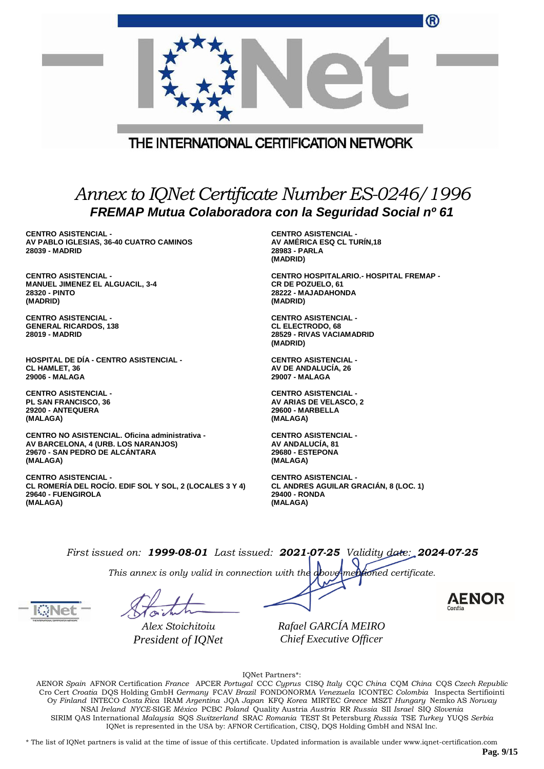|                                                                                                                                                                         | THE INTERNATIONAL CERTIFICATION NETWORK                                                                       |  |
|-------------------------------------------------------------------------------------------------------------------------------------------------------------------------|---------------------------------------------------------------------------------------------------------------|--|
| Annex to IQNet Certificate Number ES-0246/1996<br>FREMAP Mutua Colaboradora con la Seguridad Social nº 61<br><b>CENTRO ASISTENCIAL -</b><br><b>CENTRO ASISTENCIAL -</b> |                                                                                                               |  |
| AV PABLO IGLESIAS, 36-40 CUATRO CAMINOS<br>28039 - MADRID                                                                                                               | AV AMÉRICA ESQ CL TURIN,18<br>28983 - PARLA<br>(MADRID)                                                       |  |
| <b>CENTRO ASISTENCIAL -</b><br><b>MANUEL JIMENEZ EL ALGUACIL, 3-4</b><br>28320 - PINTO<br>(MADRID)                                                                      | <b>CENTRO HOSPITALARIO.- HOSPITAL FREMAP -</b><br><b>CR DE POZUELO, 61</b><br>28222 - MAJADAHONDA<br>(MADRID) |  |
| <b>CENTRO ASISTENCIAL -</b><br><b>GENERAL RICARDOS, 138</b><br><b>28019 - MADRID</b>                                                                                    | <b>CENTRO ASISTENCIAL -</b><br><b>CL ELECTRODO, 68</b><br>28529 - RIVAS VACIAMADRID<br>(MADRID)               |  |
| <b>HOSPITAL DE DÍA - CENTRO ASISTENCIAL -</b><br><b>CL HAMLET, 36</b><br>29006 - MALAGA                                                                                 | <b>CENTRO ASISTENCIAL -</b><br>AV DE ANDALUCÍA, 26<br>29007 - MALAGA                                          |  |
| <b>CENTRO ASISTENCIAL -</b>                                                                                                                                             | <b>CENTRO ASISTENCIAL -</b>                                                                                   |  |

**CENTRO ASISTENCIAL - PL SAN FRANCISCO, 36 29200 - ANTEQUERA (MALAGA)**

**CENTRO NO ASISTENCIAL. Oficina administrativa - AV BARCELONA, 4 (URB. LOS NARANJOS) 29670 - SAN PEDRO DE ALCÁNTARA (MALAGA)**

**CENTRO ASISTENCIAL - CL ROMERÍA DEL ROCÍO. EDIF SOL Y SOL, 2 (LOCALES 3 Y 4) 29640 - FUENGIROLA (MALAGA)**

**CENTRO ASISTENCIAL - AV ANDALUCÍA, 81 29680 - ESTEPONA (MALAGA)**

**AV ARIAS DE VELASCO, 2 29600 - MARBELLA (MALAGA)**

**CENTRO ASISTENCIAL - CL ANDRES AGUILAR GRACIÁN, 8 (LOC. 1) 29400 - RONDA (MALAGA)**

*First issued on: 1999-08-01 Last issued: 2021-07-25 Validity date: 2024-07-25*

*This annex is only valid in connection with the above-mentioned certificate.*

*Alex Stoichitoiu President of IQNet* *Rafael GARCÍA MEIRO Chief Executive Officer*

IQNet Partners\*:

AENOR *Spain* AFNOR Certification *France* APCER *Portugal* CCC *Cyprus* CISQ *Italy* CQC *China* CQM *China* CQS *Czech Republic* Cro Cert *Croatia* DQS Holding GmbH *Germany* FCAV *Brazil* FONDONORMA *Venezuela* ICONTEC *Colombia* Inspecta Sertifiointi Oy *Finland* INTECO *Costa Rica* IRAM *Argentina* JQA *Japan* KFQ *Korea* MIRTEC *Greece* MSZT *Hungary* Nemko AS *Norway* NSAI *Ireland NYCE-*SIGE *México* PCBC *Poland* Quality Austria *Austria* RR *Russia* SII *Israel* SIQ *Slovenia* SIRIM QAS International *Malaysia* SQS *Switzerland* SRAC *Romania* TEST St Petersburg *Russia* TSE *Turkey* YUQS *Serbia* IQNet is represented in the USA by: AFNOR Certification, CISQ, DQS Holding GmbH and NSAI Inc.

\* The list of IQNet partners is valid at the time of issue of this certificate. Updated information is available under www.iqnet-certification.com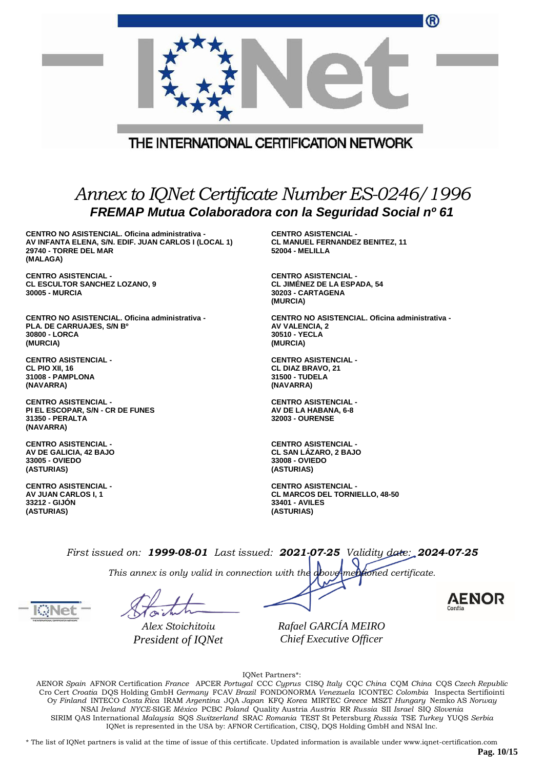|                                                                                                                                              | ®                                                                                                           |  |
|----------------------------------------------------------------------------------------------------------------------------------------------|-------------------------------------------------------------------------------------------------------------|--|
|                                                                                                                                              | THE INTERNATIONAL CERTIFICATION NETWORK                                                                     |  |
|                                                                                                                                              |                                                                                                             |  |
| Annex to IQNet Certificate Number ES-0246/1996<br>FREMAP Mutua Colaboradora con la Seguridad Social nº 61                                    |                                                                                                             |  |
| CENTRO NO ASISTENCIAL. Oficina administrativa -<br>AV INFANTA ELENA, S/N. EDIF. JUAN CARLOS I (LOCAL 1)<br>29740 - TORRE DEL MAR<br>(MALAGA) | <b>CENTRO ASISTENCIAL -</b><br><b>CL MANUEL FERNANDEZ BENITEZ, 11</b><br><b>52004 - MELILLA</b>             |  |
| <b>CENTRO ASISTENCIAL -</b><br><b>CL ESCULTOR SANCHEZ LOZANO, 9</b><br><b>30005 - MURCIA</b>                                                 | <b>CENTRO ASISTENCIAL -</b><br><b>CL JIMÉNEZ DE LA ESPADA, 54</b><br>30203 - CARTAGENA<br>(MURCIA)          |  |
| CENTRO NO ASISTENCIAL. Oficina administrativa -<br>PLA. DE CARRUAJES, S/N B°<br>30800 - LORCA<br>(MURCIA)                                    | CENTRO NO ASISTENCIAL. Oficina administrativa -<br>AV VALENCIA, 2<br>30510 - YECLA<br>(MURCIA)              |  |
| <b>CENTRO ASISTENCIAL -</b><br>CL PIO XII, 16<br>31008 - PAMPLONA<br>(NAVARRA)                                                               | <b>CENTRO ASISTENCIAL -</b><br><b>CL DIAZ BRAVO, 21</b><br>31500 - TUDELA<br>(NAVARRA)                      |  |
| <b>CENTRO ASISTENCIAL -</b><br>PI EL ESCOPAR, S/N - CR DE FUNES<br>31350 - PERALTA<br>(NAVARRA)                                              | <b>CENTRO ASISTENCIAL -</b><br>AV DE LA HABANA, 6-8<br><b>32003 - OURENSE</b>                               |  |
| <b>CENTRO ASISTENCIAL -</b><br>AV DE GALICIA, 42 BAJO<br>33005 - OVIEDO<br>(ASTURIAS)                                                        | <b>CENTRO ASISTENCIAL -</b><br><b>CL SAN LAZARO, 2 BAJO</b><br>33008 - OVIEDO<br>(ASTURIAS)                 |  |
| <b>CENTRO ASISTENCIAL -</b><br><b>AV JUAN CARLOS I, 1</b><br>33212 - GIJON<br>(ASTURIAS)                                                     | <b>CENTRO ASISTENCIAL -</b><br><b>CL MARCOS DEL TORNIELLO, 48-50</b><br><b>33401 - AVILES</b><br>(ASTURIAS) |  |

*This annex is only valid in connection with the above-mentioned certificate.*

*Alex Stoichitoiu President of IQNet* *Rafael GARCÍA MEIRO Chief Executive Officer*

IQNet Partners\*:

AENOR *Spain* AFNOR Certification *France* APCER *Portugal* CCC *Cyprus* CISQ *Italy* CQC *China* CQM *China* CQS *Czech Republic* Cro Cert *Croatia* DQS Holding GmbH *Germany* FCAV *Brazil* FONDONORMA *Venezuela* ICONTEC *Colombia* Inspecta Sertifiointi Oy *Finland* INTECO *Costa Rica* IRAM *Argentina* JQA *Japan* KFQ *Korea* MIRTEC *Greece* MSZT *Hungary* Nemko AS *Norway* NSAI *Ireland NYCE-*SIGE *México* PCBC *Poland* Quality Austria *Austria* RR *Russia* SII *Israel* SIQ *Slovenia* SIRIM QAS International *Malaysia* SQS *Switzerland* SRAC *Romania* TEST St Petersburg *Russia* TSE *Turkey* YUQS *Serbia* IQNet is represented in the USA by: AFNOR Certification, CISQ, DQS Holding GmbH and NSAI Inc.

\* The list of IQNet partners is valid at the time of issue of this certificate. Updated information is available under www.iqnet-certification.com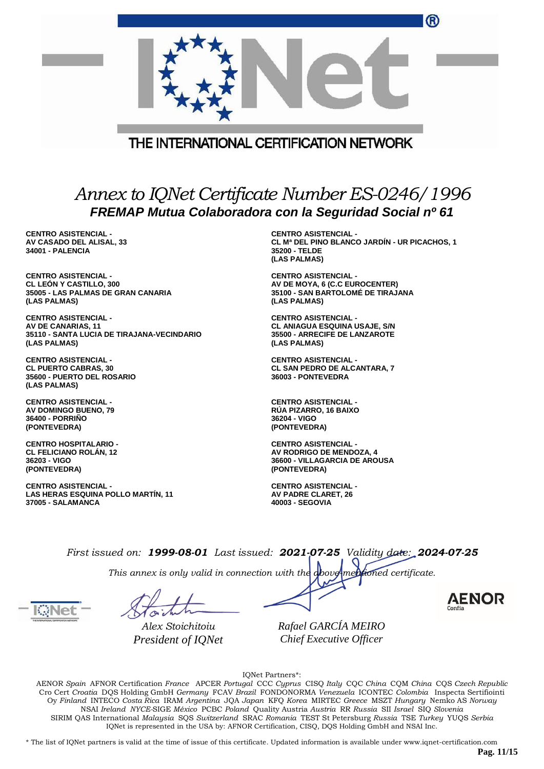|                                                                                                           | (R)                                                                                                           |  |
|-----------------------------------------------------------------------------------------------------------|---------------------------------------------------------------------------------------------------------------|--|
|                                                                                                           | THE INTERNATIONAL CERTIFICATION NETWORK                                                                       |  |
| Annex to IQNet Certificate Number ES-0246/1996<br>FREMAP Mutua Colaboradora con la Seguridad Social nº 61 |                                                                                                               |  |
| <b>CENTRO ASISTENCIAL -</b><br>AV CASADO DEL ALISAL, 33<br>34001 - PALENCIA                               | <b>CENTRO ASISTENCIAL -</b><br>CL Mª DEL PINO BLANCO JARDÍN - UR PICACHOS, 1<br>35200 - TELDE<br>(LAS PALMAS) |  |
| <b>CENTRO ASISTENCIAL -</b>                                                                               | <b>CENTRO ASISTENCIAL -</b>                                                                                   |  |
| <b>CL LEON Y CASTILLO, 300</b>                                                                            | AV DE MOYA, 6 (C.C EUROCENTER)                                                                                |  |
| 35005 - LAS PALMAS DE GRAN CANARIA                                                                        | 35100 - SAN BARTOLOMÉ DE TIRAJANA                                                                             |  |
| (LAS PALMAS)                                                                                              | (LAS PALMAS)                                                                                                  |  |
| <b>CENTRO ASISTENCIAL -</b>                                                                               | <b>CENTRO ASISTENCIAL -</b>                                                                                   |  |
| AV DE CANARIAS, 11                                                                                        | <b>CL ANIAGUA ESQUINA USAJE, S/N</b>                                                                          |  |
| 35110 - SANTA LUCIA DE TIRAJANA-VECINDARIO                                                                | 35500 - ARRECIFE DE LANZAROTE                                                                                 |  |
| (LAS PALMAS)                                                                                              | (LAS PALMAS)                                                                                                  |  |
| <b>CENTRO ASISTENCIAL -</b><br><b>CL PUERTO CABRAS, 30</b><br>35600 - PUERTO DEL ROSARIO<br>(LAS PALMAS)  | <b>CENTRO ASISTENCIAL -</b><br><b>CL SAN PEDRO DE ALCANTARA, 7</b><br>36003 - PONTEVEDRA                      |  |
| <b>CENTRO ASISTENCIAL -</b>                                                                               | <b>CENTRO ASISTENCIAL -</b>                                                                                   |  |
| <b>AV DOMINGO BUENO, 79</b>                                                                               | RÚA PIZARRO, 16 BAIXO                                                                                         |  |
| 36400 - PORRIÑO                                                                                           | 36204 - VIGO                                                                                                  |  |
| (PONTEVEDRA)                                                                                              | (PONTEVEDRA)                                                                                                  |  |
| <b>CENTRO HOSPITALARIO -</b>                                                                              | <b>CENTRO ASISTENCIAL -</b>                                                                                   |  |
| <b>CL FELICIANO ROLAN, 12</b>                                                                             | AV RODRIGO DE MENDOZA, 4                                                                                      |  |
| 36203 - VIGO                                                                                              | <b>36600 - VILLAGARCIA DE AROUSA</b>                                                                          |  |
| (PONTEVEDRA)                                                                                              | (PONTEVEDRA)                                                                                                  |  |
| <b>CENTRO ASISTENCIAL -</b>                                                                               | <b>CENTRO ASISTENCIAL -</b>                                                                                   |  |
| LAS HERAS ESQUINA POLLO MARTÍN, 11                                                                        | AV PADRE CLARET, 26                                                                                           |  |
| 37005 - SALAMANCA                                                                                         | 40003 - SEGOVIA                                                                                               |  |

*This annex is only valid in connection with the above-mentioned certificate.*

*Alex Stoichitoiu President of IQNet*

*Rafael GARCÍA MEIRO Chief Executive Officer*

AENOR

IQNet Partners\*:

AENOR *Spain* AFNOR Certification *France* APCER *Portugal* CCC *Cyprus* CISQ *Italy* CQC *China* CQM *China* CQS *Czech Republic* Cro Cert *Croatia* DQS Holding GmbH *Germany* FCAV *Brazil* FONDONORMA *Venezuela* ICONTEC *Colombia* Inspecta Sertifiointi Oy *Finland* INTECO *Costa Rica* IRAM *Argentina* JQA *Japan* KFQ *Korea* MIRTEC *Greece* MSZT *Hungary* Nemko AS *Norway* NSAI *Ireland NYCE-*SIGE *México* PCBC *Poland* Quality Austria *Austria* RR *Russia* SII *Israel* SIQ *Slovenia* SIRIM QAS International *Malaysia* SQS *Switzerland* SRAC *Romania* TEST St Petersburg *Russia* TSE *Turkey* YUQS *Serbia* IQNet is represented in the USA by: AFNOR Certification, CISQ, DQS Holding GmbH and NSAI Inc.

\* The list of IQNet partners is valid at the time of issue of this certificate. Updated information is available under www.iqnet-certification.com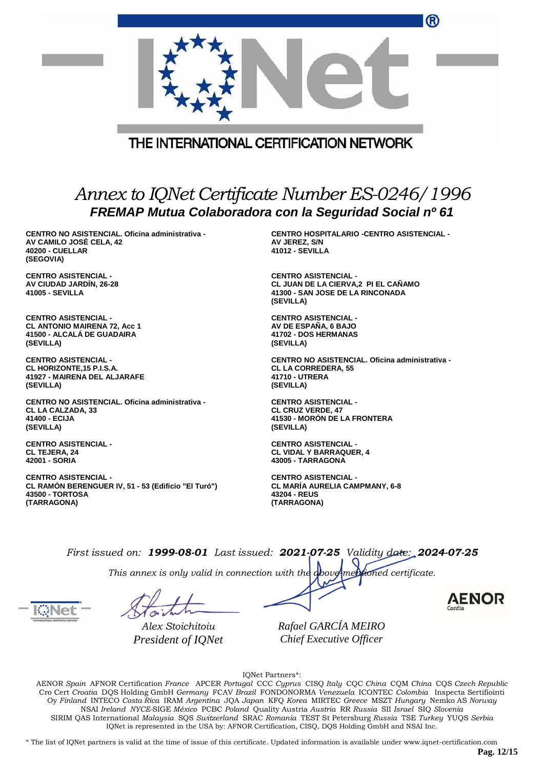|                                                                                                                   | ®                                                                                                                   |  |  |  |
|-------------------------------------------------------------------------------------------------------------------|---------------------------------------------------------------------------------------------------------------------|--|--|--|
| THE INTERNATIONAL CERTIFICATION NETWORK                                                                           |                                                                                                                     |  |  |  |
| Annex to IQNet Certificate Number ES-0246/1996<br>FREMAP Mutua Colaboradora con la Seguridad Social nº 61         |                                                                                                                     |  |  |  |
| CENTRO NO ASISTENCIAL. Oficina administrativa -<br>AV CAMILO JOSÉ CELA, 42<br><b>40200 - CUELLAR</b><br>(SEGOVIA) | <b>CENTRO HOSPITALARIO -CENTRO ASISTENCIAL -</b><br>AV JEREZ, S/N<br><b>41012 - SEVILLA</b>                         |  |  |  |
| <b>CENTRO ASISTENCIAL -</b><br>AV CIUDAD JARDIN, 26-28<br>41005 - SEVILLA                                         | <b>CENTRO ASISTENCIAL -</b><br>CL JUAN DE LA CIERVA,2 PI EL CAÑAMO<br>41300 - SAN JOSE DE LA RINCONADA<br>(SEVILLA) |  |  |  |
| <b>CENTRO ASISTENCIAL -</b>                                                                                       | <b>CENTRO ASISTENCIAL -</b>                                                                                         |  |  |  |
| <b>CL ANTONIO MAIRENA 72, Acc 1</b>                                                                               | AV DE ESPAÑA, 6 BAJO                                                                                                |  |  |  |
| 41500 - ALCALA DE GUADAIRA                                                                                        | 41702 - DOS HERMANAS                                                                                                |  |  |  |
| (SEVILLA)                                                                                                         | (SEVILLA)                                                                                                           |  |  |  |
| <b>CENTRO ASISTENCIAL -</b>                                                                                       | CENTRO NO ASISTENCIAL. Oficina administrativa -                                                                     |  |  |  |
| CL HORIZONTE, 15 P.I.S.A.                                                                                         | <b>CL LA CORREDERA, 55</b>                                                                                          |  |  |  |
| 41927 - MAIRENA DEL ALJARAFE                                                                                      | 41710 - UTRERA                                                                                                      |  |  |  |
| (SEVILLA)                                                                                                         | (SEVILLA)                                                                                                           |  |  |  |
| CENTRO NO ASISTENCIAL. Oficina administrativa -                                                                   | <b>CENTRO ASISTENCIAL -</b>                                                                                         |  |  |  |
| <b>CL LA CALZADA, 33</b>                                                                                          | <b>CL CRUZ VERDE, 47</b>                                                                                            |  |  |  |
| 41400 - ECIJA                                                                                                     | 41530 - MORÓN DE LA FRONTERA                                                                                        |  |  |  |
| (SEVILLA)                                                                                                         | (SEVILLA)                                                                                                           |  |  |  |
| <b>CENTRO ASISTENCIAL -</b>                                                                                       | <b>CENTRO ASISTENCIAL -</b>                                                                                         |  |  |  |
| <b>CL TEJERA, 24</b>                                                                                              | <b>CL VIDAL Y BARRAQUER, 4</b>                                                                                      |  |  |  |
| 42001 - SORIA                                                                                                     | 43005 - TARRAGONA                                                                                                   |  |  |  |
| <b>CENTRO ASISTENCIAL -</b>                                                                                       | <b>CENTRO ASISTENCIAL -</b>                                                                                         |  |  |  |
| CL RAMÓN BERENGUER IV, 51 - 53 (Edificio "El Turó")                                                               | <b>CL MARÍA AURELIA CAMPMANY, 6-8</b>                                                                               |  |  |  |
| 43500 - TORTOSA                                                                                                   | 43204 - REUS                                                                                                        |  |  |  |
| (TARRAGONA)                                                                                                       | (TARRAGONA)                                                                                                         |  |  |  |

*This annex is only valid in connection with the above-mentioned certificate.*

*Alex Stoichitoiu President of IQNet*

*Rafael GARCÍA MEIRO Chief Executive Officer*

**AENOR** 

IQNet Partners\*:

AENOR *Spain* AFNOR Certification *France* APCER *Portugal* CCC *Cyprus* CISQ *Italy* CQC *China* CQM *China* CQS *Czech Republic* Cro Cert *Croatia* DQS Holding GmbH *Germany* FCAV *Brazil* FONDONORMA *Venezuela* ICONTEC *Colombia* Inspecta Sertifiointi Oy *Finland* INTECO *Costa Rica* IRAM *Argentina* JQA *Japan* KFQ *Korea* MIRTEC *Greece* MSZT *Hungary* Nemko AS *Norway* NSAI *Ireland NYCE-*SIGE *México* PCBC *Poland* Quality Austria *Austria* RR *Russia* SII *Israel* SIQ *Slovenia* SIRIM QAS International *Malaysia* SQS *Switzerland* SRAC *Romania* TEST St Petersburg *Russia* TSE *Turkey* YUQS *Serbia* IQNet is represented in the USA by: AFNOR Certification, CISQ, DQS Holding GmbH and NSAI Inc.

\* The list of IQNet partners is valid at the time of issue of this certificate. Updated information is available under www.iqnet-certification.com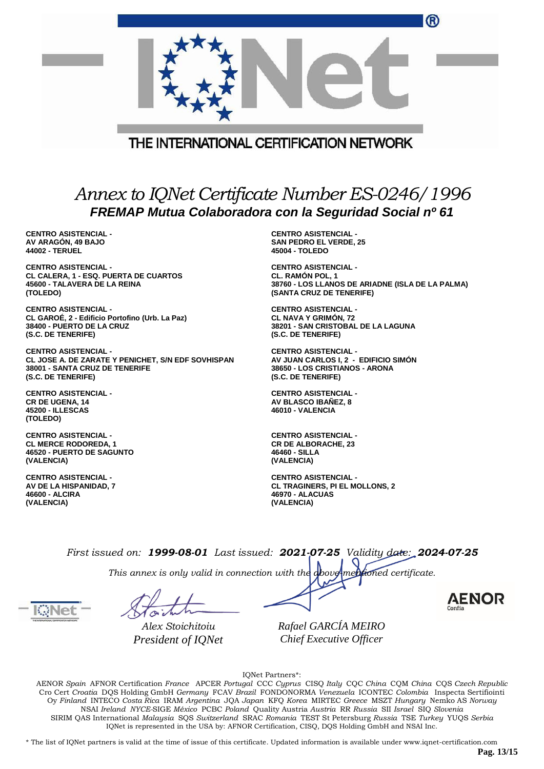| THE INTERNATIONAL CERTIFICATION NETWORK                                                                   |                                                  |  |
|-----------------------------------------------------------------------------------------------------------|--------------------------------------------------|--|
| Annex to IQNet Certificate Number ES-0246/1996<br>FREMAP Mutua Colaboradora con la Seguridad Social nº 61 |                                                  |  |
| <b>CENTRO ASISTENCIAL -</b>                                                                               | <b>CENTRO ASISTENCIAL -</b>                      |  |
| AV ARAGÓN, 49 BAJO                                                                                        | <b>SAN PEDRO EL VERDE, 25</b>                    |  |
| <b>44002 - TERUEL</b>                                                                                     | 45004 - TOLEDO                                   |  |
| <b>CENTRO ASISTENCIAL -</b>                                                                               | <b>CENTRO ASISTENCIAL -</b>                      |  |
| <b>CL CALERA, 1 - ESQ. PUERTA DE CUARTOS</b>                                                              | <b>CL. RAMÓN POL, 1</b>                          |  |
| 45600 - TALAVERA DE LA REINA                                                                              | 38760 - LOS LLANOS DE ARIADNE (ISLA DE LA PALMA) |  |
| (TOLEDO)                                                                                                  | (SANTA CRUZ DE TENERIFE)                         |  |
| <b>CENTRO ASISTENCIAL -</b>                                                                               | <b>CENTRO ASISTENCIAL -</b>                      |  |
| CL GAROÉ, 2 - Edificio Portofino (Urb. La Paz)                                                            | <b>CL NAVA Y GRIMON, 72</b>                      |  |
| 38400 - PUERTO DE LA CRUZ                                                                                 | 38201 - SAN CRISTOBAL DE LA LAGUNA               |  |
| (S.C. DE TENERIFE)                                                                                        | (S.C. DE TENERIFE)                               |  |
| <b>CENTRO ASISTENCIAL -</b>                                                                               | <b>CENTRO ASISTENCIAL -</b>                      |  |
| CL. JOSE A. DE ZADATE V DENICUET, SALEDE SOVUISDANI                                                       | AV ILLAN CADI OC L.O. EDIFICIO SIMONI            |  |

**CL JOSE A. DE ZARATE Y PENICHET, S/N EDF SOVHISPAN 38001 - SANTA CRUZ DE TENERIFE (S.C. DE TENERIFE)**

**CENTRO ASISTENCIAL - CR DE UGENA, 14 45200 - ILLESCAS (TOLEDO)**

**CENTRO ASISTENCIAL - CL MERCE RODOREDA, 1 46520 - PUERTO DE SAGUNTO (VALENCIA)**

**CENTRO ASISTENCIAL - AV DE LA HISPANIDAD, 7 46600 - ALCIRA (VALENCIA)**

**AV JUAN CARLOS I, 2 - EDIFICIO SIMÓN 38650 - LOS CRISTIANOS - ARONA (S.C. DE TENERIFE)**

**CENTRO ASISTENCIAL - AV BLASCO IBAÑEZ, 8 46010 - VALENCIA**

**CENTRO ASISTENCIAL - CR DE ALBORACHE, 23 46460 - SILLA (VALENCIA)**

**CENTRO ASISTENCIAL - CL TRAGINERS, PI EL MOLLONS, 2 46970 - ALACUAS (VALENCIA)**

*First issued on: 1999-08-01 Last issued: 2021-07-25 Validity date: 2024-07-25*

*This annex is only valid in connection with the above-mentioned certificate.*

*Alex Stoichitoiu President of IQNet*

*Rafael GARCÍA MEIRO Chief Executive Officer*

IQNet Partners\*:

AENOR *Spain* AFNOR Certification *France* APCER *Portugal* CCC *Cyprus* CISQ *Italy* CQC *China* CQM *China* CQS *Czech Republic* Cro Cert *Croatia* DQS Holding GmbH *Germany* FCAV *Brazil* FONDONORMA *Venezuela* ICONTEC *Colombia* Inspecta Sertifiointi Oy *Finland* INTECO *Costa Rica* IRAM *Argentina* JQA *Japan* KFQ *Korea* MIRTEC *Greece* MSZT *Hungary* Nemko AS *Norway* NSAI *Ireland NYCE-*SIGE *México* PCBC *Poland* Quality Austria *Austria* RR *Russia* SII *Israel* SIQ *Slovenia* SIRIM QAS International *Malaysia* SQS *Switzerland* SRAC *Romania* TEST St Petersburg *Russia* TSE *Turkey* YUQS *Serbia* IQNet is represented in the USA by: AFNOR Certification, CISQ, DQS Holding GmbH and NSAI Inc.

\* The list of IQNet partners is valid at the time of issue of this certificate. Updated information is available under www.iqnet-certification.com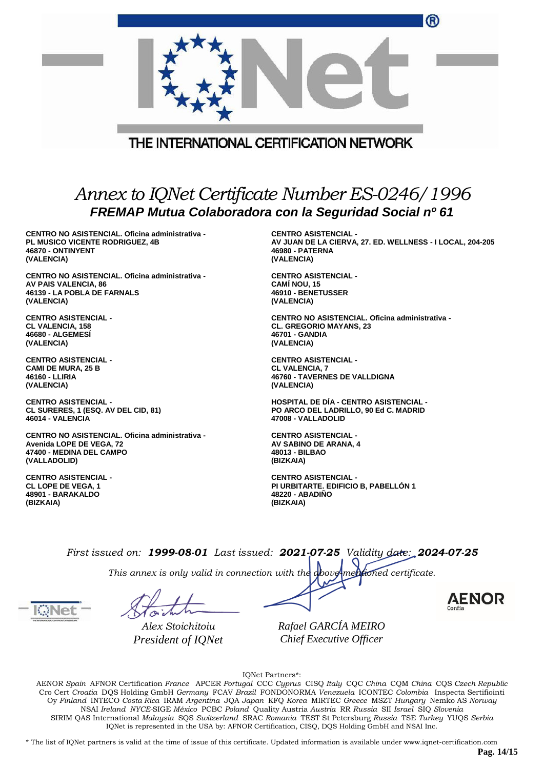|                                                                                                           | ⋓                                                         |  |  |
|-----------------------------------------------------------------------------------------------------------|-----------------------------------------------------------|--|--|
|                                                                                                           |                                                           |  |  |
|                                                                                                           | THE INTERNATIONAL CERTIFICATION NETWORK                   |  |  |
|                                                                                                           |                                                           |  |  |
|                                                                                                           |                                                           |  |  |
| Annex to IQNet Certificate Number ES-0246/1996<br>FREMAP Mutua Colaboradora con la Seguridad Social nº 61 |                                                           |  |  |
| CENTRO NO ASISTENCIAL. Oficina administrativa -                                                           | <b>CENTRO ASISTENCIAL -</b>                               |  |  |
| <b>PL MUSICO VICENTE RODRIGUEZ, 4B</b>                                                                    | AV JUAN DE LA CIERVA, 27. ED. WELLNESS - I LOCAL, 204-205 |  |  |
| 46870 - ONTINYENT                                                                                         | <b>46980 - PATERNA</b>                                    |  |  |
| (VALENCIA)                                                                                                | (VALENCIA)                                                |  |  |
| CENTRO NO ASISTENCIAL. Oficina administrativa -                                                           | <b>CENTRO ASISTENCIAL -</b>                               |  |  |
| AV PAIS VALENCIA, 86                                                                                      | <b>CAMI NOU, 15</b>                                       |  |  |
| 46139 - LA POBLA DE FARNALS                                                                               | 46910 - BENETUSSER                                        |  |  |
| (VALENCIA)                                                                                                | (VALENCIA)                                                |  |  |
| <b>CENTRO ASISTENCIAL -</b>                                                                               | CENTRO NO ASISTENCIAL. Oficina administrativa -           |  |  |
| <b>CL VALENCIA, 158</b>                                                                                   | <b>CL. GREGORIO MAYANS, 23</b>                            |  |  |
| 46680 - ALGEMESİ                                                                                          | 46701 - GANDIA                                            |  |  |
| (VALENCIA)                                                                                                | (VALENCIA)                                                |  |  |
| <b>CENTRO ASISTENCIAL -</b>                                                                               | <b>CENTRO ASISTENCIAL -</b>                               |  |  |
| <b>CAMI DE MURA, 25 B</b>                                                                                 | <b>CL VALENCIA, 7</b>                                     |  |  |
| 46160 - LLIRIA                                                                                            | 46760 - TAVERNES DE VALLDIGNA                             |  |  |
| (VALENCIA)                                                                                                | (VALENCIA)                                                |  |  |
| <b>CENTRO ASISTENCIAL -</b>                                                                               | <b>HOSPITAL DE DÍA - CENTRO ASISTENCIAL -</b>             |  |  |
| CL SURERES, 1 (ESQ. AV DEL CID, 81)                                                                       | PO ARCO DEL LADRILLO, 90 Ed C. MADRID                     |  |  |
| 46014 - VALENCIA                                                                                          | 47008 - VALLADOLID                                        |  |  |
| CENTRO NO ASISTENCIAL, Oficina administrativa -                                                           | <b>CENTRO ASISTENCIAL -</b>                               |  |  |
| Avenida LOPE DE VEGA, 72                                                                                  | AV SABINO DE ARANA. 4                                     |  |  |

**CENTRO ASISTENCIAL - CL LOPE DE VEGA, 1 48901 - BARAKALDO (BIZKAIA)**

**(VALLADOLID)**

**47400 - MEDINA DEL CAMPO**

**CENTRO ASISTENCIAL - PI URBITARTE. EDIFICIO B, PABELLÓN 1 48220 - ABADIÑO (BIZKAIA)**

 $\sim$ 

*First issued on: 1999-08-01 Last issued: 2021-07-25 Validity date: 2024-07-25*

**48013 - BILBAO (BIZKAIA)**

*This annex is only valid in connection with the above-mentioned certificate.*

*Alex Stoichitoiu President of IQNet* *Rafael GARCÍA MEIRO Chief Executive Officer*

IQNet Partners\*:

AENOR *Spain* AFNOR Certification *France* APCER *Portugal* CCC *Cyprus* CISQ *Italy* CQC *China* CQM *China* CQS *Czech Republic* Cro Cert *Croatia* DQS Holding GmbH *Germany* FCAV *Brazil* FONDONORMA *Venezuela* ICONTEC *Colombia* Inspecta Sertifiointi Oy *Finland* INTECO *Costa Rica* IRAM *Argentina* JQA *Japan* KFQ *Korea* MIRTEC *Greece* MSZT *Hungary* Nemko AS *Norway* NSAI *Ireland NYCE-*SIGE *México* PCBC *Poland* Quality Austria *Austria* RR *Russia* SII *Israel* SIQ *Slovenia* SIRIM QAS International *Malaysia* SQS *Switzerland* SRAC *Romania* TEST St Petersburg *Russia* TSE *Turkey* YUQS *Serbia* IQNet is represented in the USA by: AFNOR Certification, CISQ, DQS Holding GmbH and NSAI Inc.

\* The list of IQNet partners is valid at the time of issue of this certificate. Updated information is available under www.iqnet-certification.com